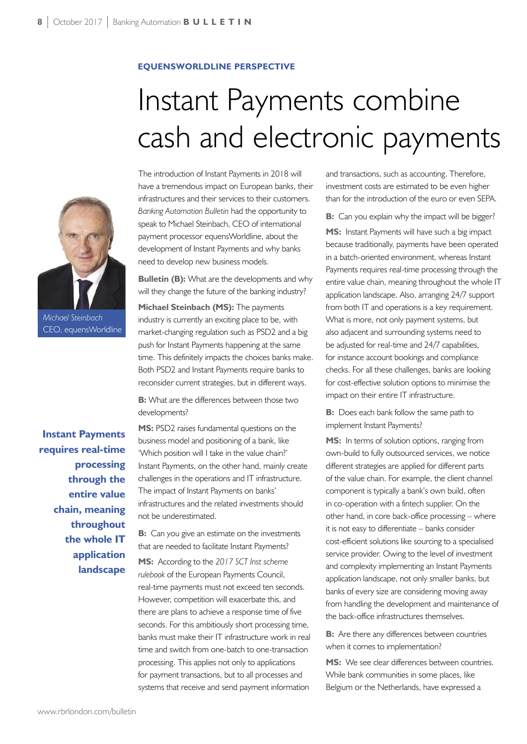## **EQUENSWORLDLINE PERSPECTIVE**

## Instant Payments combine cash and electronic payments



*Michael Steinbach* CEO, equensWorldline

**Instant Payments requires real-time processing through the entire value chain, meaning throughout the whole IT application landscape**

The introduction of Instant Payments in 2018 will have a tremendous impact on European banks, their infrastructures and their services to their customers. *Banking Automation Bulletin* had the opportunity to speak to Michael Steinbach, CEO of international payment processor equensWorldline, about the development of Instant Payments and why banks need to develop new business models.

**Bulletin (B):** What are the developments and why will they change the future of the banking industry? **Michael Steinbach (MS):** The payments industry is currently an exciting place to be, with market-changing regulation such as PSD2 and a big push for Instant Payments happening at the same time. This definitely impacts the choices banks make. Both PSD2 and Instant Payments require banks to reconsider current strategies, but in different ways.

**B:** What are the differences between those two developments?

**MS:** PSD2 raises fundamental questions on the business model and positioning of a bank, like 'Which position will I take in the value chain?' Instant Payments, on the other hand, mainly create challenges in the operations and IT infrastructure. The impact of Instant Payments on banks' infrastructures and the related investments should not be underestimated.

**B:** Can you give an estimate on the investments that are needed to facilitate Instant Payments?

**MS:** According to the *2017 SCT Inst scheme rulebook* of the European Payments Council, real-time payments must not exceed ten seconds. However, competition will exacerbate this, and there are plans to achieve a response time of five seconds. For this ambitiously short processing time, banks must make their IT infrastructure work in real time and switch from one-batch to one-transaction processing. This applies not only to applications for payment transactions, but to all processes and systems that receive and send payment information

and transactions, such as accounting. Therefore, investment costs are estimated to be even higher than for the introduction of the euro or even SEPA.

**B:** Can you explain why the impact will be bigger?

**MS:** Instant Payments will have such a big impact because traditionally, payments have been operated in a batch-oriented environment, whereas Instant Payments requires real-time processing through the entire value chain, meaning throughout the whole IT application landscape. Also, arranging 24/7 support from both IT and operations is a key requirement. What is more, not only payment systems, but also adjacent and surrounding systems need to be adjusted for real-time and 24/7 capabilities, for instance account bookings and compliance checks. For all these challenges, banks are looking for cost-effective solution options to minimise the impact on their entire IT infrastructure.

**B:** Does each bank follow the same path to implement Instant Payments?

**MS:** In terms of solution options, ranging from own-build to fully outsourced services, we notice different strategies are applied for different parts of the value chain. For example, the client channel component is typically a bank's own build, often in co-operation with a fintech supplier. On the other hand, in core back-office processing – where it is not easy to differentiate – banks consider cost-efficient solutions like sourcing to a specialised service provider. Owing to the level of investment and complexity implementing an Instant Payments application landscape, not only smaller banks, but banks of every size are considering moving away from handling the development and maintenance of the back-office infrastructures themselves.

**B:** Are there any differences between countries when it comes to implementation?

**MS:** We see clear differences between countries. While bank communities in some places, like Belgium or the Netherlands, have expressed a